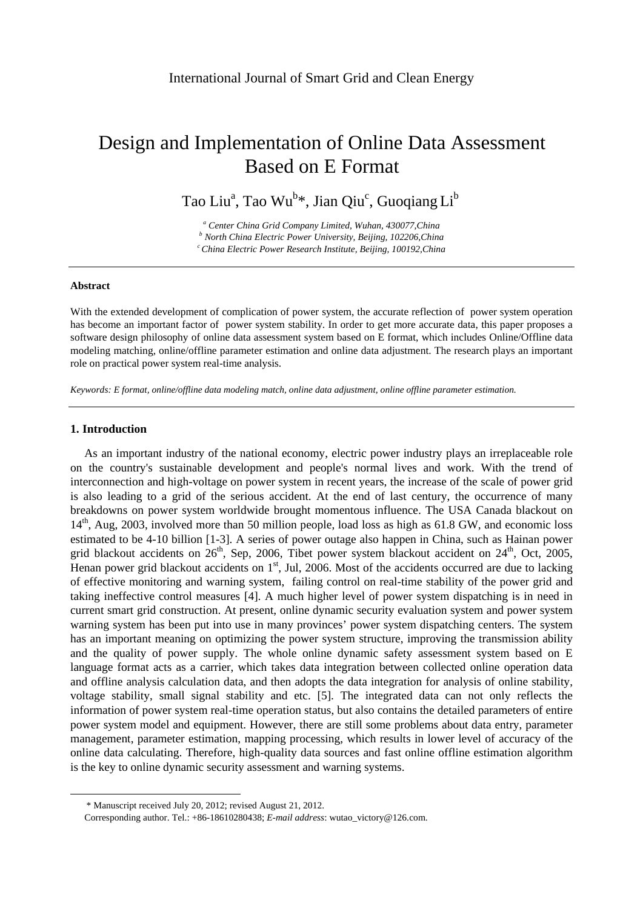# Design and Implementation of Online Data Assessment Based on E Format

Tao Liu<sup>a</sup>, Tao Wu<sup>b</sup>\*, Jian Qiu<sup>c</sup>, Guoqiang Li<sup>b</sup>

*a Center China Grid Company Limited, Wuhan, 430077,China b North China Electric Power University, Beijing, 102206,China c China Electric Power Research Institute, Beijing, 100192,China* 

## **Abstract**

With the extended development of complication of power system, the accurate reflection of power system operation has become an important factor of power system stability. In order to get more accurate data, this paper proposes a software design philosophy of online data assessment system based on E format, which includes Online/Offline data modeling matching, online/offline parameter estimation and online data adjustment. The research plays an important role on practical power system real-time analysis.

*Keywords: E format, online/offline data modeling match, online data adjustment, online offline parameter estimation.* 

## **1. Introduction**

-

As an important industry of the national economy, electric power industry plays an irreplaceable role on the country's sustainable development and people's normal lives and work. With the trend of interconnection and high-voltage on power system in recent years, the increase of the scale of power grid is also leading to a grid of the serious accident. At the end of last century, the occurrence of many breakdowns on power system worldwide brought momentous influence. The USA Canada blackout on 14<sup>th</sup>, Aug, 2003, involved more than 50 million people, load loss as high as 61.8 GW, and economic loss estimated to be 4-10 billion [1-3]. A series of power outage also happen in China, such as Hainan power grid blackout accidents on  $26<sup>th</sup>$ , Sep, 2006, Tibet power system blackout accident on  $24<sup>th</sup>$ , Oct, 2005, Henan power grid blackout accidents on  $1<sup>st</sup>$ , Jul, 2006. Most of the accidents occurred are due to lacking of effective monitoring and warning system, failing control on real-time stability of the power grid and taking ineffective control measures [4]. A much higher level of power system dispatching is in need in current smart grid construction. At present, online dynamic security evaluation system and power system warning system has been put into use in many provinces' power system dispatching centers. The system has an important meaning on optimizing the power system structure, improving the transmission ability and the quality of power supply. The whole online dynamic safety assessment system based on E language format acts as a carrier, which takes data integration between collected online operation data and offline analysis calculation data, and then adopts the data integration for analysis of online stability, voltage stability, small signal stability and etc. [5]. The integrated data can not only reflects the information of power system real-time operation status, but also contains the detailed parameters of entire power system model and equipment. However, there are still some problems about data entry, parameter management, parameter estimation, mapping processing, which results in lower level of accuracy of the online data calculating. Therefore, high-quality data sources and fast online offline estimation algorithm is the key to online dynamic security assessment and warning systems.

<sup>\*</sup> Manuscript received July 20, 2012; revised August 21, 2012.

Corresponding author. Tel.: +86-18610280438; *E-mail address*: wutao\_victory@126.com.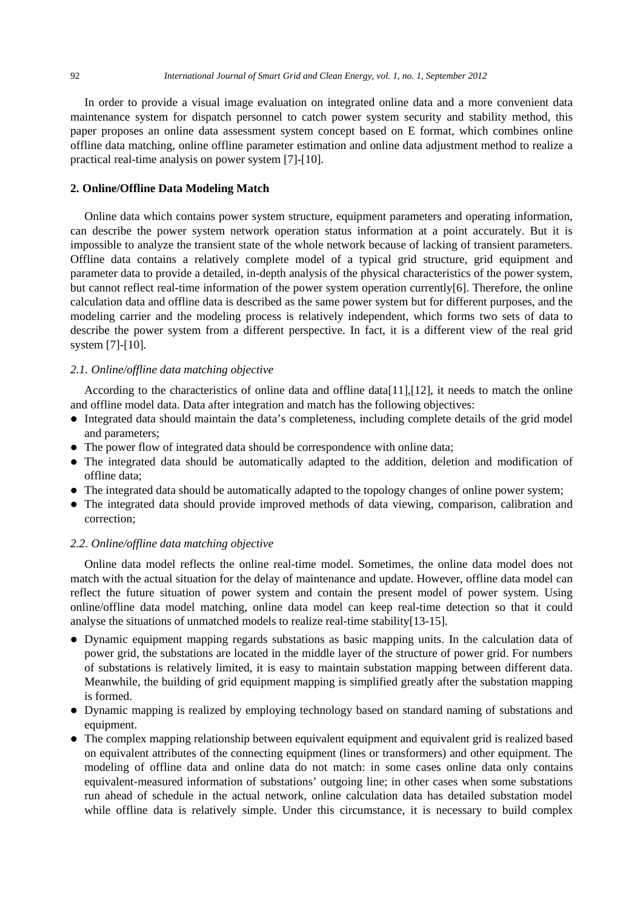In order to provide a visual image evaluation on integrated online data and a more convenient data maintenance system for dispatch personnel to catch power system security and stability method, this paper proposes an online data assessment system concept based on E format, which combines online offline data matching, online offline parameter estimation and online data adjustment method to realize a practical real-time analysis on power system [7]-[10].

# **2. Online/Offline Data Modeling Match**

Online data which contains power system structure, equipment parameters and operating information, can describe the power system network operation status information at a point accurately. But it is impossible to analyze the transient state of the whole network because of lacking of transient parameters. Offline data contains a relatively complete model of a typical grid structure, grid equipment and parameter data to provide a detailed, in-depth analysis of the physical characteristics of the power system, but cannot reflect real-time information of the power system operation currently[6]. Therefore, the online calculation data and offline data is described as the same power system but for different purposes, and the modeling carrier and the modeling process is relatively independent, which forms two sets of data to describe the power system from a different perspective. In fact, it is a different view of the real grid system [7]-[10].

## *2.1. Online/offline data matching objective*

According to the characteristics of online data and offline data [11], [12], it needs to match the online and offline model data. Data after integration and match has the following objectives:

- Integrated data should maintain the data's completeness, including complete details of the grid model and parameters;
- The power flow of integrated data should be correspondence with online data;
- The integrated data should be automatically adapted to the addition, deletion and modification of offline data;
- The integrated data should be automatically adapted to the topology changes of online power system;
- The integrated data should provide improved methods of data viewing, comparison, calibration and correction;

## *2.2. Online/offline data matching objective*

Online data model reflects the online real-time model. Sometimes, the online data model does not match with the actual situation for the delay of maintenance and update. However, offline data model can reflect the future situation of power system and contain the present model of power system. Using online/offline data model matching, online data model can keep real-time detection so that it could analyse the situations of unmatched models to realize real-time stability[13-15].

- Dynamic equipment mapping regards substations as basic mapping units. In the calculation data of power grid, the substations are located in the middle layer of the structure of power grid. For numbers of substations is relatively limited, it is easy to maintain substation mapping between different data. Meanwhile, the building of grid equipment mapping is simplified greatly after the substation mapping is formed.
- Dynamic mapping is realized by employing technology based on standard naming of substations and equipment.
- The complex mapping relationship between equivalent equipment and equivalent grid is realized based on equivalent attributes of the connecting equipment (lines or transformers) and other equipment. The modeling of offline data and online data do not match: in some cases online data only contains equivalent-measured information of substations' outgoing line; in other cases when some substations run ahead of schedule in the actual network, online calculation data has detailed substation model while offline data is relatively simple. Under this circumstance, it is necessary to build complex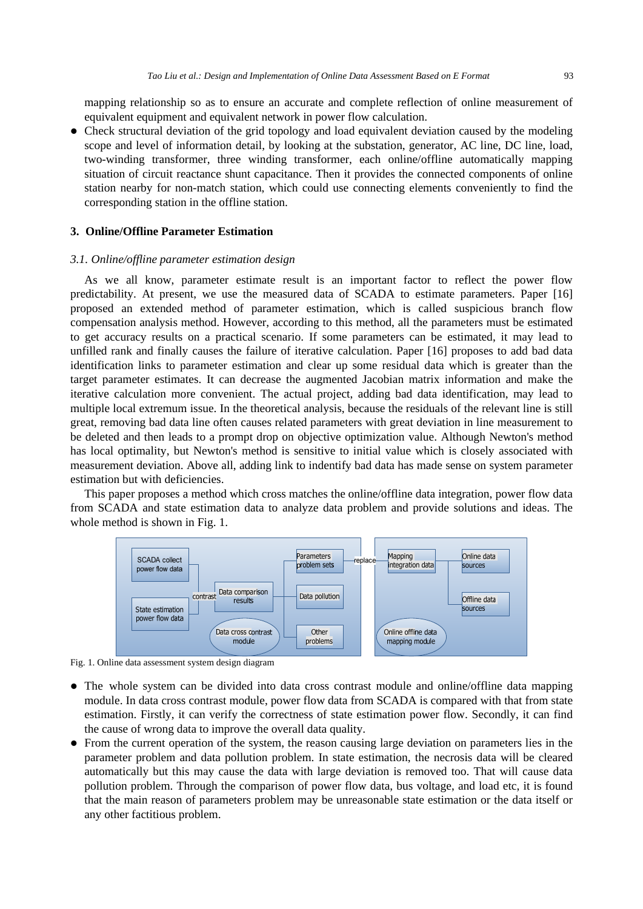mapping relationship so as to ensure an accurate and complete reflection of online measurement of equivalent equipment and equivalent network in power flow calculation.

• Check structural deviation of the grid topology and load equivalent deviation caused by the modeling scope and level of information detail, by looking at the substation, generator, AC line, DC line, load, two-winding transformer, three winding transformer, each online/offline automatically mapping situation of circuit reactance shunt capacitance. Then it provides the connected components of online station nearby for non-match station, which could use connecting elements conveniently to find the corresponding station in the offline station.

## **3. Online/Offline Parameter Estimation**

#### *3.1. Online/offline parameter estimation design*

As we all know, parameter estimate result is an important factor to reflect the power flow predictability. At present, we use the measured data of SCADA to estimate parameters. Paper [16] proposed an extended method of parameter estimation, which is called suspicious branch flow compensation analysis method. However, according to this method, all the parameters must be estimated to get accuracy results on a practical scenario. If some parameters can be estimated, it may lead to unfilled rank and finally causes the failure of iterative calculation. Paper [16] proposes to add bad data identification links to parameter estimation and clear up some residual data which is greater than the target parameter estimates. It can decrease the augmented Jacobian matrix information and make the iterative calculation more convenient. The actual project, adding bad data identification, may lead to multiple local extremum issue. In the theoretical analysis, because the residuals of the relevant line is still great, removing bad data line often causes related parameters with great deviation in line measurement to be deleted and then leads to a prompt drop on objective optimization value. Although Newton's method has local optimality, but Newton's method is sensitive to initial value which is closely associated with measurement deviation. Above all, adding link to indentify bad data has made sense on system parameter estimation but with deficiencies.

This paper proposes a method which cross matches the online/offline data integration, power flow data from SCADA and state estimation data to analyze data problem and provide solutions and ideas. The whole method is shown in Fig. 1.



Fig. 1. Online data assessment system design diagram

- The whole system can be divided into data cross contrast module and online/offline data mapping module. In data cross contrast module, power flow data from SCADA is compared with that from state estimation. Firstly, it can verify the correctness of state estimation power flow. Secondly, it can find the cause of wrong data to improve the overall data quality.
- From the current operation of the system, the reason causing large deviation on parameters lies in the parameter problem and data pollution problem. In state estimation, the necrosis data will be cleared automatically but this may cause the data with large deviation is removed too. That will cause data pollution problem. Through the comparison of power flow data, bus voltage, and load etc, it is found that the main reason of parameters problem may be unreasonable state estimation or the data itself or any other factitious problem.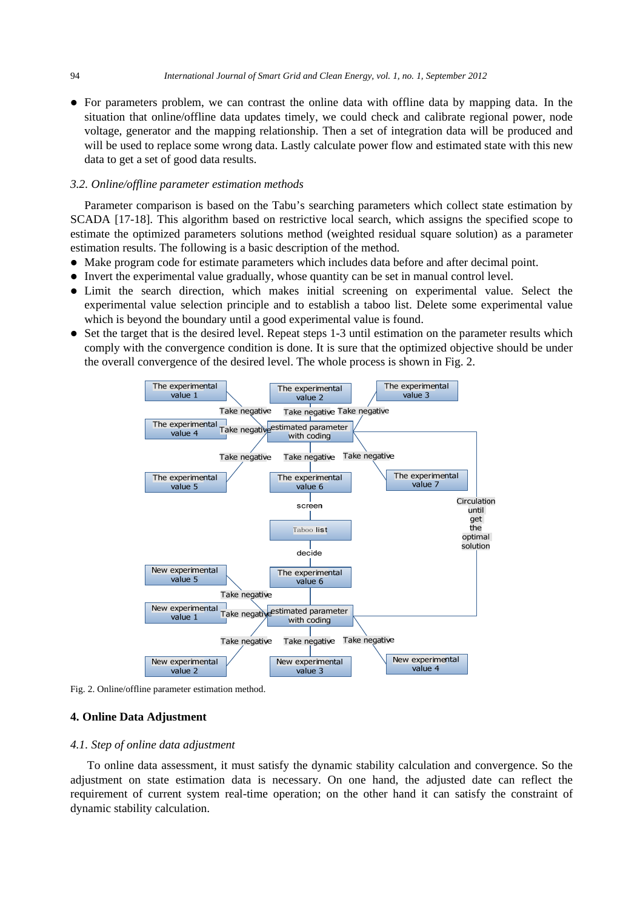• For parameters problem, we can contrast the online data with offline data by mapping data. In the situation that online/offline data updates timely, we could check and calibrate regional power, node voltage, generator and the mapping relationship. Then a set of integration data will be produced and will be used to replace some wrong data. Lastly calculate power flow and estimated state with this new data to get a set of good data results.

## *3.2. Online/offline parameter estimation methods*

Parameter comparison is based on the Tabu's searching parameters which collect state estimation by SCADA [17-18]. This algorithm based on restrictive local search, which assigns the specified scope to estimate the optimized parameters solutions method (weighted residual square solution) as a parameter estimation results. The following is a basic description of the method.

- Make program code for estimate parameters which includes data before and after decimal point.
- Invert the experimental value gradually, whose quantity can be set in manual control level.
- Limit the search direction, which makes initial screening on experimental value. Select the experimental value selection principle and to establish a taboo list. Delete some experimental value which is beyond the boundary until a good experimental value is found.
- Set the target that is the desired level. Repeat steps 1-3 until estimation on the parameter results which comply with the convergence condition is done. It is sure that the optimized objective should be under the overall convergence of the desired level. The whole process is shown in Fig. 2.



Fig. 2. Online/offline parameter estimation method.

## **4. Online Data Adjustment**

## *4.1. Step of online data adjustment*

To online data assessment, it must satisfy the dynamic stability calculation and convergence. So the adjustment on state estimation data is necessary. On one hand, the adjusted date can reflect the requirement of current system real-time operation; on the other hand it can satisfy the constraint of dynamic stability calculation.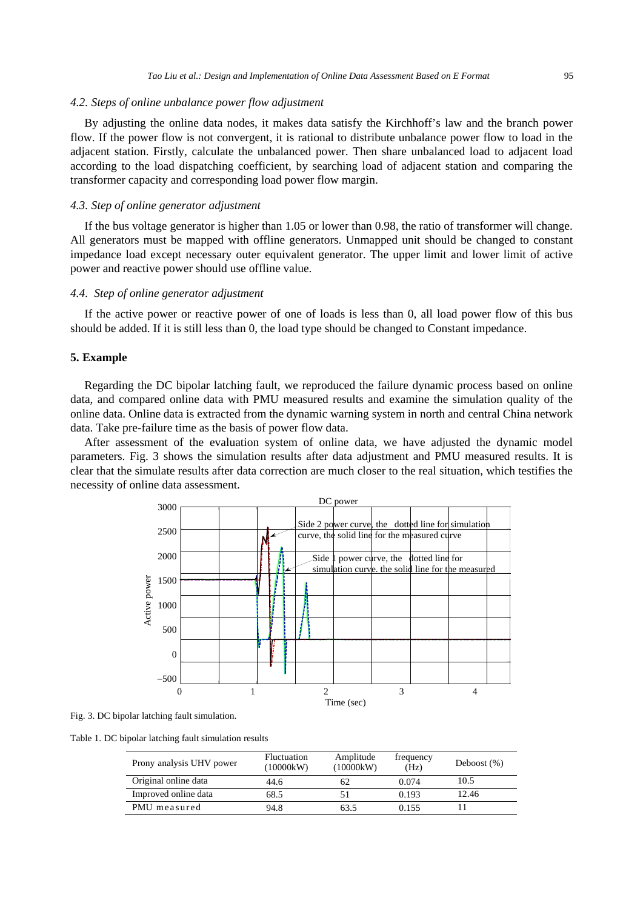## *4.2. Steps of online unbalance power flow adjustment*

By adjusting the online data nodes, it makes data satisfy the Kirchhoff's law and the branch power flow. If the power flow is not convergent, it is rational to distribute unbalance power flow to load in the adjacent station. Firstly, calculate the unbalanced power. Then share unbalanced load to adjacent load according to the load dispatching coefficient, by searching load of adjacent station and comparing the transformer capacity and corresponding load power flow margin.

## *4.3. Step of online generator adjustment*

If the bus voltage generator is higher than 1.05 or lower than 0.98, the ratio of transformer will change. All generators must be mapped with offline generators. Unmapped unit should be changed to constant impedance load except necessary outer equivalent generator. The upper limit and lower limit of active power and reactive power should use offline value.

## *4.4. Step of online generator adjustment*

If the active power or reactive power of one of loads is less than 0, all load power flow of this bus should be added. If it is still less than 0, the load type should be changed to Constant impedance.

#### **5. Example**

Regarding the DC bipolar latching fault, we reproduced the failure dynamic process based on online data, and compared online data with PMU measured results and examine the simulation quality of the online data. Online data is extracted from the dynamic warning system in north and central China network data. Take pre-failure time as the basis of power flow data.

After assessment of the evaluation system of online data, we have adjusted the dynamic model parameters. Fig. 3 shows the simulation results after data adjustment and PMU measured results. It is clear that the simulate results after data correction are much closer to the real situation, which testifies the necessity of online data assessment.



Fig. 3. DC bipolar latching fault simulation.

Table 1. DC bipolar latching fault simulation results

| Prony analysis UHV power | <b>Fluctuation</b><br>(10000kW) | Amplitude<br>(10000kW) | frequency<br>(Hz) | Deboost $(\%)$ |
|--------------------------|---------------------------------|------------------------|-------------------|----------------|
| Original online data     | 44.6                            | 62                     | 0.074             | 10.5           |
| Improved online data     | 68.5                            | 51                     | 0.193             | 12.46          |
| PMU measured             | 94.8                            | 63.5                   | 0.155             |                |